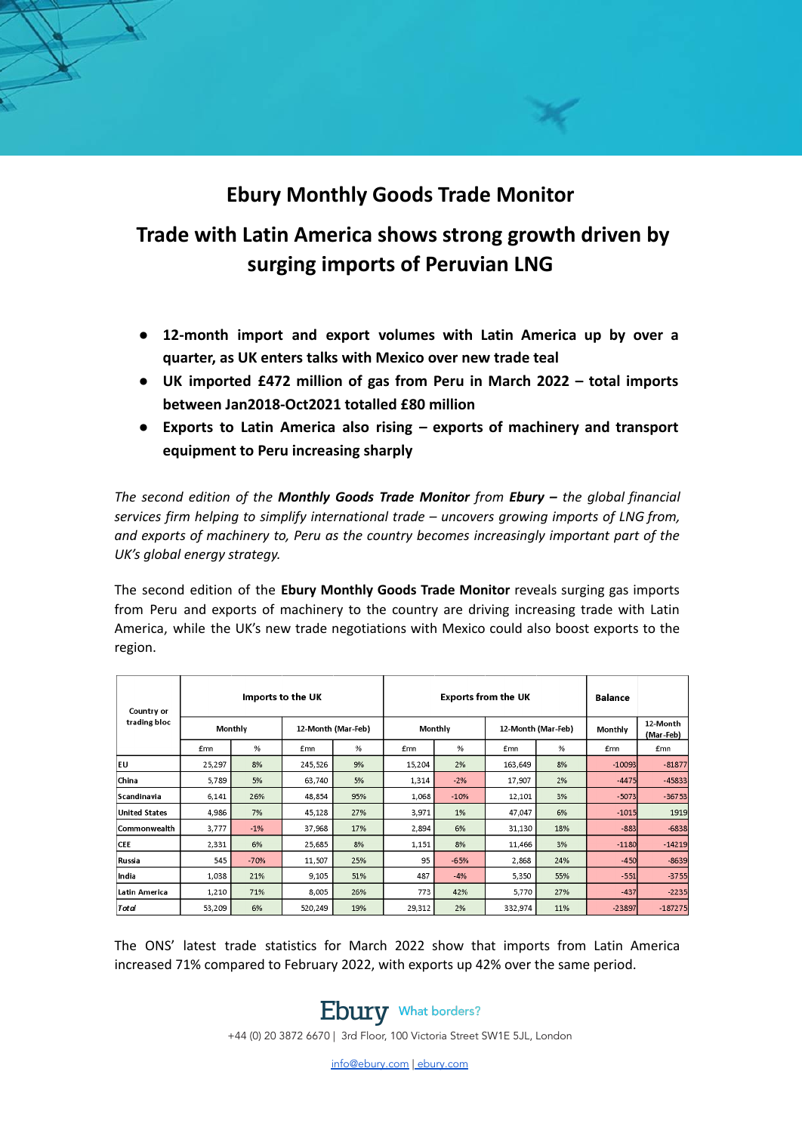## **Ebury Monthly Goods Trade Monitor**

# **Trade with Latin America shows strong growth driven by surging imports of Peruvian LNG**

- **● 12-month import and export volumes with Latin America up by over a quarter, as UK enters talks with Mexico over new trade teal**
- **● UK imported £472 million of gas from Peru in March 2022 – total imports between Jan2018-Oct2021 totalled £80 million**
- **● Exports to Latin America also rising – exports of machinery and transport equipment to Peru increasing sharply**

*The second edition of the Monthly Goods Trade Monitor from Ebury – the global financial services firm helping to simplify international trade – uncovers growing imports of LNG from, and exports of machinery to, Peru as the country becomes increasingly important part of the UK's global energy strategy.*

The second edition of the **Ebury Monthly Goods Trade Monitor** reveals surging gas imports from Peru and exports of machinery to the country are driving increasing trade with Latin America, while the UK's new trade negotiations with Mexico could also boost exports to the region.

| Country or<br>trading bloc | Imports to the UK |        |                    |     | <b>Exports from the UK</b> |        |                    |     | <b>Balance</b> |                       |
|----------------------------|-------------------|--------|--------------------|-----|----------------------------|--------|--------------------|-----|----------------|-----------------------|
|                            | Monthly           |        | 12-Month (Mar-Feb) |     | Monthly                    |        | 12-Month (Mar-Feb) |     | Monthly        | 12-Month<br>(Mar-Feb) |
|                            | £mn               | %      | <b>£mn</b>         | %   | £mn                        | %      | <b>£mn</b>         | %   | <b>£mn</b>     | £mn                   |
| EU                         | 25,297            | 8%     | 245,526            | 9%  | 15,204                     | 2%     | 163,649            | 8%  | $-10093$       | $-81877$              |
| China                      | 5,789             | 5%     | 63,740             | 5%  | 1,314                      | $-2%$  | 17,907             | 2%  | $-4475$        | $-45833$              |
| Scandinavia                | 6,141             | 26%    | 48,854             | 95% | 1,068                      | $-10%$ | 12,101             | 3%  | $-5073$        | $-36753$              |
| <b>United States</b>       | 4,986             | 7%     | 45,128             | 27% | 3,971                      | $1\%$  | 47,047             | 6%  | $-1015$        | 1919                  |
| Commonwealth               | 3,777             | $-1\%$ | 37,968             | 17% | 2,894                      | 6%     | 31,130             | 18% | $-883$         | $-6838$               |
| <b>CEE</b>                 | 2,331             | 6%     | 25,685             | 8%  | 1,151                      | 8%     | 11,466             | 3%  | $-1180$        | $-14219$              |
| Russia                     | 545               | $-70%$ | 11,507             | 25% | 95                         | $-65%$ | 2,868              | 24% | $-450$         | $-8639$               |
| India                      | 1,038             | 21%    | 9,105              | 51% | 487                        | $-4%$  | 5,350              | 55% | $-551$         | $-3755$               |
| Latin America              | 1,210             | 71%    | 8,005              | 26% | 773                        | 42%    | 5,770              | 27% | $-437$         | $-2235$               |
| Total                      | 53,209            | 6%     | 520,249            | 19% | 29,312                     | 2%     | 332,974            | 11% | $-23897$       | $-187275$             |

The ONS' latest trade statistics for March 2022 show that imports from Latin America increased 71% compared to February 2022, with exports up 42% over the same period.



+44 (0) 20 3872 6670 | 3rd Floor, 100 Victoria Street SW1E 5JL, London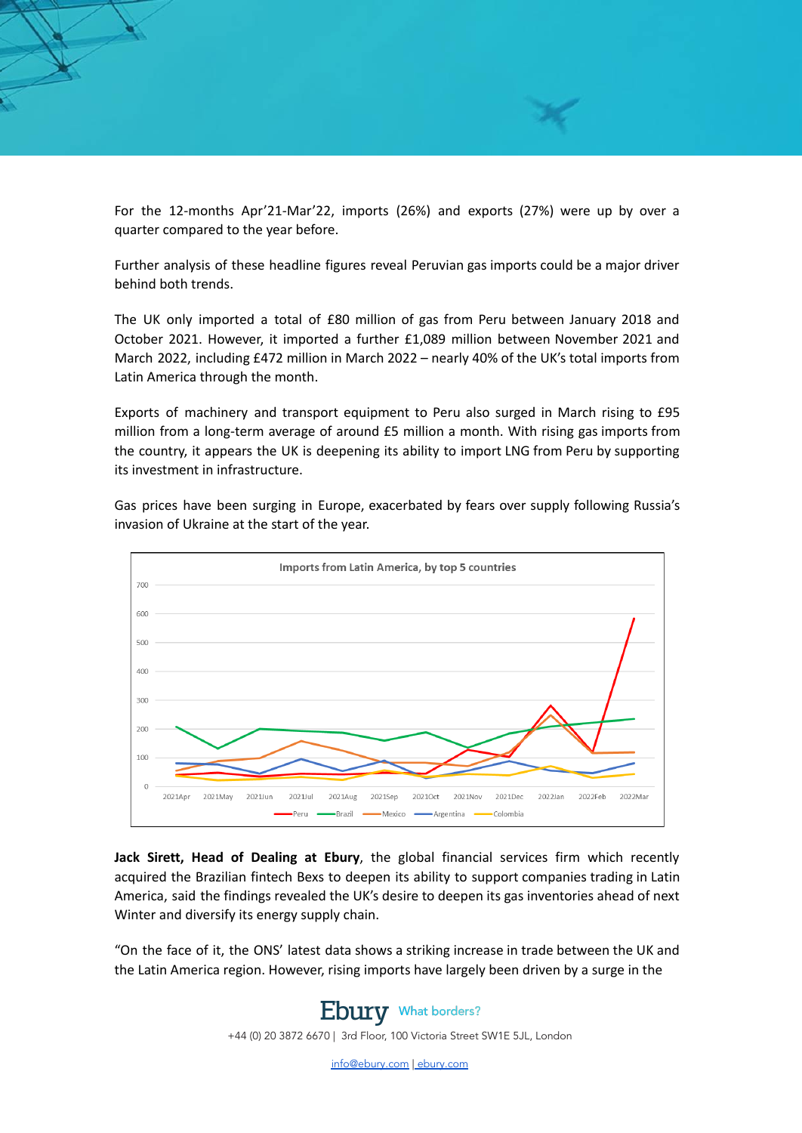For the 12-months Apr'21-Mar'22, imports (26%) and exports (27%) were up by over a quarter compared to the year before.

Further analysis of these headline figures reveal Peruvian gas imports could be a major driver behind both trends.

The UK only imported a total of £80 million of gas from Peru between January 2018 and October 2021. However, it imported a further £1,089 million between November 2021 and March 2022, including £472 million in March 2022 – nearly 40% of the UK's total imports from Latin America through the month.

Exports of machinery and transport equipment to Peru also surged in March rising to £95 million from a long-term average of around £5 million a month. With rising gas imports from the country, it appears the UK is deepening its ability to import LNG from Peru by supporting its investment in infrastructure.

Gas prices have been surging in Europe, exacerbated by fears over supply following Russia's invasion of Ukraine at the start of the year.



**Jack Sirett, Head of Dealing at Ebury**, the global financial services firm which recently acquired the Brazilian fintech Bexs to deepen its ability to support companies trading in Latin America, said the findings revealed the UK's desire to deepen its gas inventories ahead of next Winter and diversify its energy supply chain.

"On the face of it, the ONS' latest data shows a striking increase in trade between the UK and the Latin America region. However, rising imports have largely been driven by a surge in the

### **Ebury** What borders?

+44 (0) 20 3872 6670 | 3rd Floor, 100 Victoria Street SW1E 5JL, London